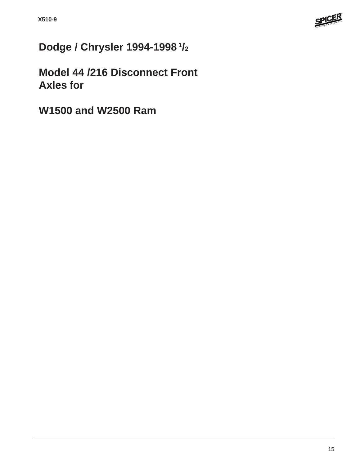

# **Dodge / Chrysler 1994-1998 1/2**

**Model 44 /216 Disconnect Front Axles for**

**W1500 and W2500 Ram**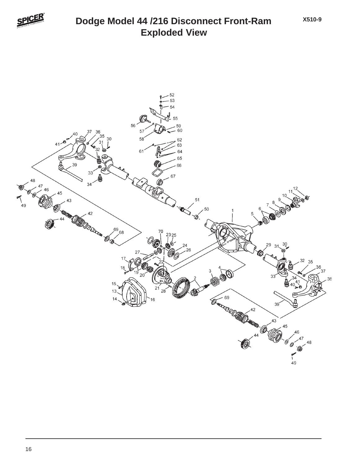

## **Exploded View Dodge Model 44 /216 Disconnect Front-Ram**

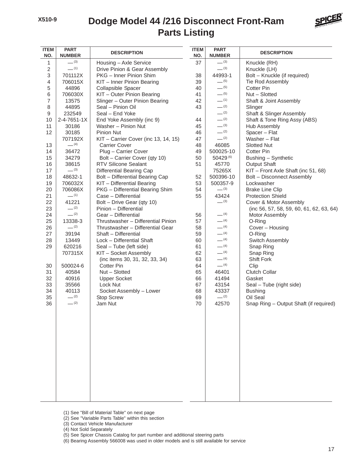### **Parts Listing Dodge Model 44 /216 Disconnect Front-Ram**



| <b>ITEM</b><br>NO. | <b>PART</b><br><b>NUMBER</b> | <b>DESCRIPTION</b>                   | <b>ITEM</b><br>NO. | <b>PART</b><br><b>NUMBER</b> | <b>DESCRIPTION</b>                       |
|--------------------|------------------------------|--------------------------------------|--------------------|------------------------------|------------------------------------------|
| 1                  | $-^{(3)}$                    | Housing - Axle Service               | 37                 | $-^{(3)}$                    | Knuckle (RH)                             |
| 2                  | $-$ (1)                      | Drive Pinion & Gear Assembly         |                    | $-^{(3)}$                    | Knuckle (LH)                             |
| 3                  | 701112X                      | PKG - Inner Pinion Shim              | 38                 | 44993-1                      | Bolt - Knuckle (if required)             |
| 4                  | 706015X                      | KIT - Inner Pinion Bearing           | 39                 | $-$ (5)                      | Tie Rod Assembly                         |
| 5                  | 44896                        | Collapsible Spacer                   | 40                 | $-$ (5)                      | <b>Cotter Pin</b>                        |
| 6                  | 706030X                      | KIT - Outer Pinion Bearing           | 41                 | $- (5)$                      | Nut - Slotted                            |
| 7                  | 13575                        | Slinger - Outer Pinion Bearing       | 42                 | $-$ (1)                      | Shaft & Joint Assembly                   |
| 8                  | 44895                        | Seal - Pinion Oil                    | 43                 | $-^{(2)}$                    | Slinger                                  |
| 9                  | 232549                       | Seal - End Yoke                      |                    | $- (2)$                      | Shaft & Slinger Assembly                 |
| 10                 | $2 - 4 - 7651 - 1X$          | End Yoke Assembly (inc 9)            | 44                 | $- (2)$                      | Shaft & Tone Ring Assy (ABS)             |
| 11                 | 30186                        | Washer - Pinion Nut                  | 45                 | $-^{(3)}$                    | Hub Assembly                             |
| 12                 | 30185                        | <b>Pinion Nut</b>                    | 46                 | $-$ (2)                      | Spacer - Flat                            |
|                    | 707192X                      | KIT - Carrier Cover (inc 13, 14, 15) | 47                 | $-^{(2)}$                    | Washer - Flat                            |
| 13                 | $- (4)$                      | <b>Carrier Cover</b>                 | 48                 | 46085                        | <b>Slotted Nut</b>                       |
| 14                 | 36472                        | Plug - Carrier Cover                 | 49                 | 500025-10                    | Cotter Pin                               |
| 15                 | 34279                        | Bolt - Carrier Cover (qty 10)        | 50                 | 50429 (6)                    | Bushing - Synthetic                      |
| 16                 | 38615                        | <b>RTV Silicone Sealant</b>          | 51                 | 45770                        | <b>Output Shaft</b>                      |
| 17                 | $-^{(3)}$                    | <b>Differential Bearing Cap</b>      |                    | 75265X                       | KIT - Front Axle Shaft (inc 51, 68)      |
| 18                 | 48632-1                      | Bolt - Differential Bearing Cap      | 52                 | 500396-10                    | Bolt - Disconnect Assembly               |
| 19                 | 706032X                      | KIT - Differential Bearing           | 53                 | 500357-9                     | Lockwasher                               |
| 20                 | 706086X                      | PKG - Differential Bearing Shim      | 54                 | $-^{(3)}$                    | <b>Brake Line Clip</b>                   |
| 21                 | $-$ (1)                      | Case - Differential                  | 55                 | 43424                        | <b>Protection Shield</b>                 |
| 22                 | 41221                        | Bolt - Drive Gear (qty 10)           |                    | $- (3)$                      | Cover & Motor Assembly                   |
| 23                 | $- (2)$                      | Pinion - Differential                |                    |                              | (inc 56, 57, 58, 59, 60, 61, 62, 63, 64) |
| 24                 | $-$ (2)                      | Gear - Differential                  | 56                 | $-$ (4)                      | Motor Assembly                           |
| 25                 | 13338-3                      | Thrustwasher - Differential Pinion   | 57                 | $-$ (4)                      | O-Ring                                   |
| 26                 | $-$ (2)                      | Thrustwasher - Differential Gear     | 58                 | $- (4)$                      | Cover - Housing                          |
| 27                 | 39194                        | Shaft - Differential                 | 59                 | $-$ (4)                      | O-Ring                                   |
| 28                 | 13449                        | Lock - Differential Shaft            | 60                 | $-$ (4)                      | Switch Assembly                          |
| 29                 | 620216                       | Seal - Tube (left side)              | 61                 | $-$ (4)                      | Snap Ring                                |
|                    | 707315X                      | KIT - Socket Assembly                | 62                 | $-$ (4)                      | Snap Ring                                |
|                    |                              | (inc items 30, 31, 32, 33, 34)       | 63                 | $-$ (4)                      | <b>Shift Fork</b>                        |
| 30                 | 500024-6                     | <b>Cotter Pin</b>                    | 64                 | $- (4)$                      | Clip                                     |
| 31                 | 40584                        | Nut - Slotted                        | 65                 | 46401                        | <b>Clutch Collar</b>                     |
| 32                 | 40916                        | <b>Upper Socket</b>                  | 66                 | 41494                        | Gasket                                   |
| 33                 | 35566                        | Lock Nut                             | 67                 | 43154                        | Seal - Tube (right side)                 |
| 34                 | 40113                        | Socket Assembly - Lower              | 68                 | 43337                        | <b>Bushing</b>                           |
| 35                 | $-^{(2)}$                    | <b>Stop Screw</b>                    | 69                 | $- (2)$                      | Oil Seal                                 |
| 36                 | $-^{(2)}$                    | Jam Nut                              | 70                 | 42570                        | Snap Ring - Output Shaft (if required)   |
|                    |                              |                                      |                    |                              |                                          |

- (1) See "Bill of Material Table" on next page
- (2) See "Variable Parts Table" within this section
- (3) Contact Vehicle Manufacturer
- (4) Not Sold Separately
- (5) See Spicer Chassis Catalog for part number and additional steering parts

(6) Bearing Assembly 566008 was used in older models and is still available for service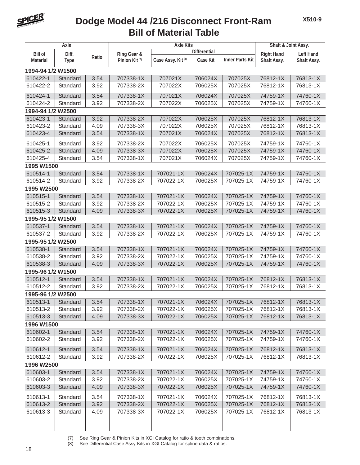

#### **Bill of Material Table Dodge Model 44 /216 Disconnect Front-Ram**

| Axle              |             | <b>Axle Kits</b> |                           |                               |                     | Shaft & Joint Assy.    |                   |                  |
|-------------------|-------------|------------------|---------------------------|-------------------------------|---------------------|------------------------|-------------------|------------------|
| <b>Bill of</b>    | Diff.       |                  | Ring Gear &               |                               | <b>Differential</b> |                        | <b>Right Hand</b> | <b>Left Hand</b> |
| <b>Material</b>   | <b>Type</b> | Ratio            | Pinion Kit <sup>(7)</sup> | Case Assy. Kit <sup>(8)</sup> | <b>Case Kit</b>     | <b>Inner Parts Kit</b> | Shaft Assy.       | Shaft Assy.      |
| 1994-94 1/2 W1500 |             |                  |                           |                               |                     |                        |                   |                  |
| 610422-1          | Standard    | 3.54             | 707338-1X                 | 707021X                       | 706024X             | 707025X                | 76812-1X          | 76813-1X         |
| 610422-2          | Standard    | 3.92             | 707338-2X                 | 707022X                       | 706025X             | 707025X                | 76812-1X          | 76813-1X         |
| 610424-1          | Standard    | 3.54             | 707338-1X                 | 707021X                       | 706024X             | 707025X                | 74759-1X          | 74760-1X         |
| 610424-2          | Standard    | 3.92             | 707338-2X                 | 707022X                       | 706025X             | 707025X                | 74759-1X          | 74760-1X         |
| 1994-94 1/2 W2500 |             |                  |                           |                               |                     |                        |                   |                  |
| 610423-1          | Standard    | 3.92             | 707338-2X                 | 707022X                       | 706025X             | 707025X                | 76812-1X          | 76813-1X         |
| 610423-2          | Standard    | 4.09             | 707338-3X                 | 707022X                       | 706025X             | 707025X                | 76812-1X          | 76813-1X         |
| 610423-4          | Standard    | 3.54             | 707338-1X                 | 707021X                       | 706024X             | 707025X                | 76812-1X          | 76813-1X         |
| 610425-1          | Standard    | 3.92             | 707338-2X                 | 707022X                       | 706025X             | 707025X                | 74759-1X          | 74760-1X         |
| 610425-2          | Standard    | 4.09             | 707338-3X                 | 707022X                       | 706025X             | 707025X                | 74759-1X          | 74760-1X         |
| 610425-4          | Standard    | 3.54             | 707338-1X                 | 707021X                       | 706024X             | 707025X                | 74759-1X          | 74760-1X         |
| 1995 W1500        |             |                  |                           |                               |                     |                        |                   |                  |
| 610514-1          | Standard    | 3.54             | 707338-1X                 | 707021-1X                     | 706024X             | 707025-1X              | 74759-1X          | 74760-1X         |
| 610514-2          | Standard    | 3.92             | 707338-2X                 | 707022-1X                     | 706025X             | 707025-1X              | 74759-1X          | 74760-1X         |
| 1995 W2500        |             |                  |                           |                               |                     |                        |                   |                  |
| 610515-1          | Standard    | 3.54             | 707338-1X                 | 707021-1X                     | 706024X             | 707025-1X              | 74759-1X          | 74760-1X         |
| 610515-2          | Standard    | 3.92             | 707338-2X                 | 707022-1X                     | 706025X             | 707025-1X              | 74759-1X          | 74760-1X         |
| 610515-3          | Standard    | 4.09             | 707338-3X                 | 707022-1X                     | 706025X             | 707025-1X              | 74759-1X          | 74760-1X         |
| 1995-95 1/2 W1500 |             |                  |                           |                               |                     |                        |                   |                  |
| 610537-1          | Standard    | 3.54             | 707338-1X                 | 707021-1X                     | 706024X             | 707025-1X              | 74759-1X          | 74760-1X         |
| 610537-2          | Standard    | 3.92             | 707338-2X                 | 707022-1X                     | 706025X             | 707025-1X              | 74759-1X          | 74760-1X         |
| 1995-95 1/2 W2500 |             |                  |                           |                               |                     |                        |                   |                  |
| 610538-1          | Standard    | 3.54             | 707338-1X                 | 707021-1X                     | 706024X             | 707025-1X              | 74759-1X          | 74760-1X         |
| 610538-2          | Standard    | 3.92             | 707338-2X                 | 707022-1X                     | 706025X             | 707025-1X              | 74759-1X          | 74760-1X         |
| 610538-3          | Standard    | 4.09             | 707338-3X                 | 707022-1X                     | 706025X             | 707025-1X              | 74759-1X          | 74760-1X         |
| 1995-96 1/2 W1500 |             |                  |                           |                               |                     |                        |                   |                  |
| 610512-1          | Standard    | 3.54             | 707338-1X                 | 707021-1X                     | 706024X             | 707025-1X              | 76812-1X          | 76813-1X         |
| 610512-2          | Standard    | 3.92             | 707338-2X                 | 707022-1X                     | 706025X             | 707025-1X              | 76812-1X          | 76813-1X         |
| 1995-96 1/2 W2500 |             |                  |                           |                               |                     |                        |                   |                  |
| 610513-1          | Standard    | 3.54             | 707338-1X                 | 707021-1X                     | 706024X             | 707025-1X              | 76812-1X          | 76813-1X         |
| 610513-2          | Standard    | 3.92             | 707338-2X                 | 707022-1X                     | 706025X             | 707025-1X              | 76812-1X          | 76813-1X         |
| 610513-3          | Standard    | 4.09             | 707338-3X                 | 707022-1X                     | 706025X             | 707025-1X              | 76812-1X          | 76813-1X         |
| 1996 W1500        |             |                  |                           |                               |                     |                        |                   |                  |
| 610602-1          | Standard    | 3.54             | 707338-1X                 | 707021-1X                     | 706024X             | 707025-1X              | 74759-1X          | 74760-1X         |
| 610602-2          | Standard    | 3.92             | 707338-2X                 | 707022-1X                     | 706025X             | 707025-1X              | 74759-1X          | 74760-1X         |
| 610612-1          | Standard    | 3.54             | 707338-1X                 | 707021-1X                     | 706024X             | 707025-1X              | 76812-1X          | 76813-1X         |
| 610612-2          | Standard    | 3.92             | 707338-2X                 | 707022-1X                     | 706025X             | 707025-1X              | 76812-1X          | 76813-1X         |
| 1996 W2500        |             |                  |                           |                               |                     |                        |                   |                  |
| 610603-1          | Standard    | 3.54             | 707338-1X                 | 707021-1X                     | 706024X             | 707025-1X              | 74759-1X          | 74760-1X         |
| 610603-2          | Standard    | 3.92             | 707338-2X                 | 707022-1X                     | 706025X             | 707025-1X              | 74759-1X          | 74760-1X         |
| 610603-3          | Standard    | 4.09             | 707338-3X                 | 707022-1X                     | 706025X             | 707025-1X              | 74759-1X          | 74760-1X         |
| 610613-1          | Standard    | 3.54             | 707338-1X                 | 707021-1X                     | 706024X             | 707025-1X              | 76812-1X          | 76813-1X         |
| 610613-2          | Standard    | 3.92             | 707338-2X                 | 707022-1X                     | 706025X             | 707025-1X              | 76812-1X          | 76813-1X         |
| 610613-3          | Standard    | 4.09             | 707338-3X                 | 707022-1X                     | 706025X             | 707025-1X              | 76812-1X          | 76813-1X         |
|                   |             |                  |                           |                               |                     |                        |                   |                  |
|                   |             |                  |                           |                               |                     |                        |                   |                  |

(7) See Ring Gear & Pinion Kits in XGI Catalog for ratio & tooth combinations.

See Differential Case Assy Kits in XGI Catalog for spline data & ratios.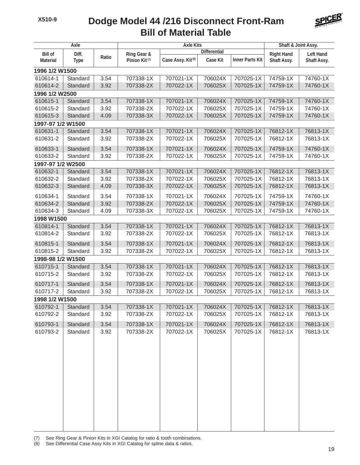#### **Bill of Material Table Dodge Model 44 /216 Disconnect Front-Ram**



| Axle                    |                                                   | <b>Axle Kits</b> |                               |                 |                        | Shaft & Joint Assy. |                  |          |
|-------------------------|---------------------------------------------------|------------------|-------------------------------|-----------------|------------------------|---------------------|------------------|----------|
| Diff.<br><b>Bill of</b> |                                                   | Ring Gear &      | <b>Differential</b>           |                 |                        | <b>Right Hand</b>   | <b>Left Hand</b> |          |
| <b>Material</b>         | Ratio<br>Pinion Kit <sup>(7)</sup><br><b>Type</b> |                  | Case Assy. Kit <sup>(8)</sup> | <b>Case Kit</b> | <b>Inner Parts Kit</b> | <b>Shaft Assy.</b>  | Shaft Assy.      |          |
| 1996 1/2 W1500          |                                                   |                  |                               |                 |                        |                     |                  |          |
| 610614-1                | Standard                                          | 3.54             | 707338-1X                     | 707021-1X       | 706024X                | 707025-1X           | 74759-1X         | 74760-1X |
| 610614-2                | Standard                                          | 3.92             | 707338-2X                     | 707022-1X       | 706025X                | 707025-1X           | 74759-1X         | 74760-1X |
| 1996 1/2 W2500          |                                                   |                  |                               |                 |                        |                     |                  |          |
| 610615-1                | Standard                                          | 3.54             | 707338-1X                     | 707021-1X       | 706024X                | 707025-1X           | 74759-1X         | 74760-1X |
| 610615-2                | Standard                                          | 3.92             | 707338-2X                     | 707022-1X       | 706025X                | 707025-1X           | 74759-1X         | 74760-1X |
| 610615-3                | Standard                                          | 4.09             | 707338-3X                     | 707022-1X       | 706025X                | 707025-1X           | 74759-1X         | 74760-1X |
| 1997-97 1/2 W1500       |                                                   |                  |                               |                 |                        |                     |                  |          |
| 610631-1                | Standard                                          | 3.54             | 707338-1X                     | 707021-1X       | 706024X                | 707025-1X           | 76812-1X         | 76813-1X |
| 610631-2                | Standard                                          | 3.92             | 707338-2X                     | 707022-1X       | 706025X                | 707025-1X           | 76812-1X         | 76813-1X |
| 610633-1                | Standard                                          | 3.54             | 707338-1X                     | 707021-1X       | 706024X                | 707025-1X           | 74759-1X         | 74760-1X |
| 610633-2                | Standard                                          | 3.92             | 707338-2X                     | 707022-1X       | 706025X                | 707025-1X           | 74759-1X         | 74760-1X |
| 1997-97 1/2 W2500       |                                                   |                  |                               |                 |                        |                     |                  |          |
| 610632-1                | Standard                                          | 3.54             | 707338-1X                     | 707021-1X       | 706024X                | 707025-1X           | 76812-1X         | 76813-1X |
| 610632-2                | Standard                                          | 3.92             | 707338-2X                     | 707022-1X       | 706025X                | 707025-1X           | 76812-1X         | 76813-1X |
| 610632-3                | Standard                                          | 4.09             | 707338-3X                     | 707022-1X       | 706025X                | 707025-1X           | 76812-1X         | 76813-1X |
| 610634-1                | Standard                                          | 3.54             | 707338-1X                     | 707021-1X       | 706024X                | 707025-1X           | 74759-1X         | 74760-1X |
| 610634-2                | Standard                                          | 3.92             | 707338-2X                     | 707022-1X       | 706025X                | 707025-1X           | 74759-1X         | 74760-1X |
| 610634-3                | Standard                                          | 4.09             | 707338-3X                     | 707022-1X       | 706025X                | 707025-1X           | 74759-1X         | 74760-1X |
|                         | 1998 W1500                                        |                  |                               |                 |                        |                     |                  |          |
| 610814-1                | Standard                                          | 3.54             | 707338-1X                     | 707021-1X       | 706024X                | 707025-1X           | 76812-1X         | 76813-1X |
| 610814-2                | Standard                                          | 3.92             | 707338-2X                     | 707022-1X       | 706025X                | 707025-1X           | 76812-1X         | 76813-1X |
| 610815-1                | Standard                                          | 3.54             | 707338-1X                     | 707021-1X       | 706024X                | 707025-1X           | 76812-1X         | 76813-1X |
| 610815-2                | Standard                                          | 3.92             | 707338-2X                     | 707022-1X       | 706025X                | 707025-1X           | 76812-1X         | 76813-1X |
| 1998-98 1/2 W1500       |                                                   |                  |                               |                 |                        |                     |                  |          |
| 610715-1                | Standard                                          | 3.54             | 707338-1X                     | 707021-1X       | 706024X                | 707025-1X           | 76812-1X         | 76813-1X |
| 610715-2                | Standard                                          | 3.92             | 707338-2X                     | 707022-1X       | 706025X                | 707025-1X           | 76812-1X         | 76813-1X |
| 610717-1                | Standard                                          | 3.54             | 707338-1X                     | 707021-1X       | 706024X                | 707025-1X           | 76812-1X         | 76813-1X |
| 610717-2                | Standard                                          | 3.92             | 707338-2X                     | 707022-1X       | 706025X                | 707025-1X           | 76812-1X         | 76813-1X |
| 1998 1/2 W1500          |                                                   |                  |                               |                 |                        |                     |                  |          |
| 610792-1                | Standard                                          | 3.54             | 707338-1X                     | 707021-1X       | 706024X                | 707025-1X           | 76812-1X         | 76813-1X |
| 610792-2                | Standard                                          | 3.92             | 707338-2X                     | 707022-1X       | 706025X                | 707025-1X           | 76812-1X         | 76813-1X |
| 610793-1                | Standard                                          | 3.54             | 707338-1X                     | 707021-1X       | 706024X                | 707025-1X           | 76812-1X         | 76813-1X |
| 610793-2                | Standard                                          | 3.92             | 707338-2X                     | 707022-1X       | 706025X                | 707025-1X           | 76812-1X         | 76813-1X |
|                         |                                                   |                  |                               |                 |                        |                     |                  |          |
|                         |                                                   |                  |                               |                 |                        |                     |                  |          |
|                         |                                                   |                  |                               |                 |                        |                     |                  |          |
|                         |                                                   |                  |                               |                 |                        |                     |                  |          |
|                         |                                                   |                  |                               |                 |                        |                     |                  |          |
|                         |                                                   |                  |                               |                 |                        |                     |                  |          |
|                         |                                                   |                  |                               |                 |                        |                     |                  |          |
|                         |                                                   |                  |                               |                 |                        |                     |                  |          |
|                         |                                                   |                  |                               |                 |                        |                     |                  |          |
|                         |                                                   |                  |                               |                 |                        |                     |                  |          |
|                         |                                                   |                  |                               |                 |                        |                     |                  |          |
|                         |                                                   |                  |                               |                 |                        |                     |                  |          |

(7) See Ring Gear & Pinion Kits in XGI Catalog for ratio & tooth combinations.

See Differential Case Assy Kits in XGI Catalog for spline data & ratios.